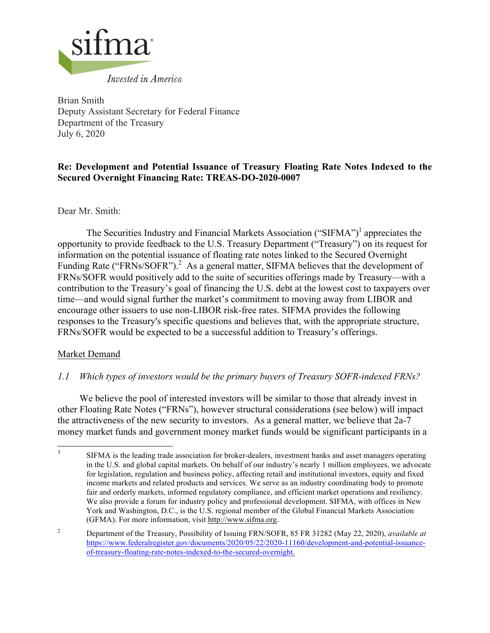

Brian Smith Deputy Assistant Secretary for Federal Finance Department of the Treasury July 6, 2020

# **Re: Development and Potential Issuance of Treasury Floating Rate Notes Indexed to the Secured Overnight Financing Rate: TREAS-DO-2020-0007**

Dear Mr. Smith:

The Securities Industry and Financial Markets Association ("SIFMA")<sup>1</sup> appreciates the opportunity to provide feedback to the U.S. Treasury Department ("Treasury") on its request for information on the potential issuance of floating rate notes linked to the Secured Overnight Funding Rate ("FRNs/SOFR").<sup>2</sup> As a general matter, SIFMA believes that the development of FRNs/SOFR would positively add to the suite of securities offerings made by Treasury—with a contribution to the Treasury's goal of financing the U.S. debt at the lowest cost to taxpayers over time—and would signal further the market's commitment to moving away from LIBOR and encourage other issuers to use non-LIBOR risk-free rates. SIFMA provides the following responses to the Treasury's specific questions and believes that, with the appropriate structure, FRNs/SOFR would be expected to be a successful addition to Treasury's offerings.

## Market Demand

## *1.1 Which types of investors would be the primary buyers of Treasury SOFR-indexed FRNs?*

We believe the pool of interested investors will be similar to those that already invest in other Floating Rate Notes ("FRNs"), however structural considerations (see below) will impact the attractiveness of the new security to investors. As a general matter, we believe that 2a-7 money market funds and government money market funds would be significant participants in a

<sup>&</sup>lt;sup>1</sup> SIFMA is the leading trade association for broker-dealers, investment banks and asset managers operating in the U.S. and global capital markets. On behalf of our industry's nearly 1 million employees, we advocate for legislation, regulation and business policy, affecting retail and institutional investors, equity and fixed income markets and related products and services. We serve as an industry coordinating body to promote fair and orderly markets, informed regulatory compliance, and efficient market operations and resiliency. We also provide a forum for industry policy and professional development. SIFMA, with offices in New York and Washington, D.C., is the U.S. regional member of the Global Financial Markets Association (GFMA). For more information, visit http://www.sifma.org.

<sup>2</sup> Department of the Treasury, Possibility of Issuing FRN/SOFR, 85 FR 31282 (May 22, 2020), *available at*  https://www.federalregister.gov/documents/2020/05/22/2020-11160/development-and-potential-issuanceof-treasury-floating-rate-notes-indexed-to-the-secured-overnight.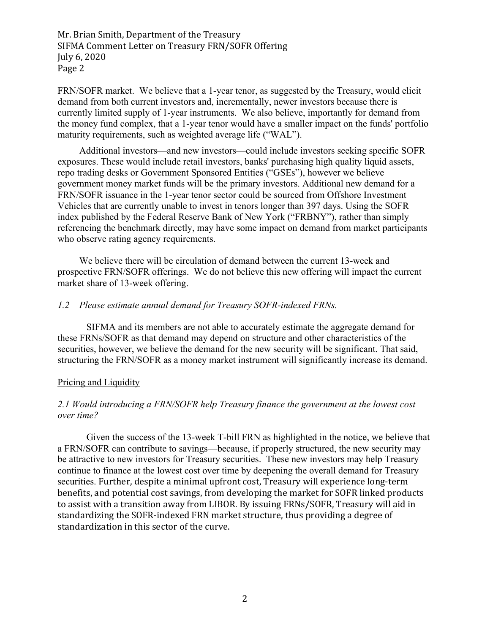FRN/SOFR market. We believe that a 1-year tenor, as suggested by the Treasury, would elicit demand from both current investors and, incrementally, newer investors because there is currently limited supply of 1-year instruments. We also believe, importantly for demand from the money fund complex, that a 1-year tenor would have a smaller impact on the funds' portfolio maturity requirements, such as weighted average life ("WAL").

Additional investors—and new investors—could include investors seeking specific SOFR exposures. These would include retail investors, banks' purchasing high quality liquid assets, repo trading desks or Government Sponsored Entities ("GSEs"), however we believe government money market funds will be the primary investors. Additional new demand for a FRN/SOFR issuance in the 1-year tenor sector could be sourced from Offshore Investment Vehicles that are currently unable to invest in tenors longer than 397 days. Using the SOFR index published by the Federal Reserve Bank of New York ("FRBNY"), rather than simply referencing the benchmark directly, may have some impact on demand from market participants who observe rating agency requirements.

We believe there will be circulation of demand between the current 13-week and prospective FRN/SOFR offerings. We do not believe this new offering will impact the current market share of 13-week offering.

### *1.2 Please estimate annual demand for Treasury SOFR-indexed FRNs.*

SIFMA and its members are not able to accurately estimate the aggregate demand for these FRNs/SOFR as that demand may depend on structure and other characteristics of the securities, however, we believe the demand for the new security will be significant. That said, structuring the FRN/SOFR as a money market instrument will significantly increase its demand.

#### Pricing and Liquidity

### *2.1 Would introducing a FRN/SOFR help Treasury finance the government at the lowest cost over time?*

Given the success of the 13-week T-bill FRN as highlighted in the notice, we believe that a FRN/SOFR can contribute to savings—because, if properly structured, the new security may be attractive to new investors for Treasury securities. These new investors may help Treasury continue to finance at the lowest cost over time by deepening the overall demand for Treasury securities. Further, despite a minimal upfront cost, Treasury will experience long-term benefits, and potential cost savings, from developing the market for SOFR linked products to assist with a transition away from LIBOR. By issuing FRNs/SOFR, Treasury will aid in standardizing the SOFR-indexed FRN market structure, thus providing a degree of standardization in this sector of the curve.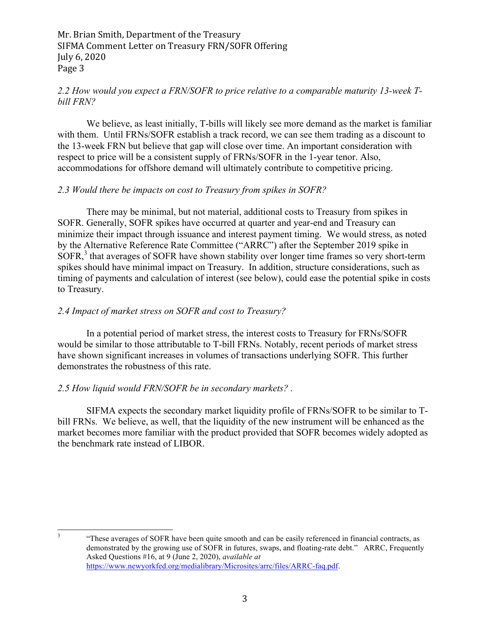## *2.2 How would you expect a FRN/SOFR to price relative to a comparable maturity 13-week Tbill FRN?*

We believe, as least initially. T-bills will likely see more demand as the market is familiar with them. Until FRNs/SOFR establish a track record, we can see them trading as a discount to the 13-week FRN but believe that gap will close over time. An important consideration with respect to price will be a consistent supply of FRNs/SOFR in the 1-year tenor. Also, accommodations for offshore demand will ultimately contribute to competitive pricing.

### *2.3 Would there be impacts on cost to Treasury from spikes in SOFR?*

There may be minimal, but not material, additional costs to Treasury from spikes in SOFR. Generally, SOFR spikes have occurred at quarter and year-end and Treasury can minimize their impact through issuance and interest payment timing. We would stress, as noted by the Alternative Reference Rate Committee ("ARRC") after the September 2019 spike in SOFR,<sup>3</sup> that averages of SOFR have shown stability over longer time frames so very short-term spikes should have minimal impact on Treasury. In addition, structure considerations, such as timing of payments and calculation of interest (see below), could ease the potential spike in costs to Treasury.

## *2.4 Impact of market stress on SOFR and cost to Treasury?*

In a potential period of market stress, the interest costs to Treasury for FRNs/SOFR would be similar to those attributable to T-bill FRNs. Notably, recent periods of market stress have shown significant increases in volumes of transactions underlying SOFR. This further demonstrates the robustness of this rate.

## *2.5 How liquid would FRN/SOFR be in secondary markets? .*

SIFMA expects the secondary market liquidity profile of FRNs/SOFR to be similar to Tbill FRNs. We believe, as well, that the liquidity of the new instrument will be enhanced as the market becomes more familiar with the product provided that SOFR becomes widely adopted as the benchmark rate instead of LIBOR.

<sup>&</sup>lt;sup>3</sup> "These averages of SOFR have been quite smooth and can be easily referenced in financial contracts, as demonstrated by the growing use of SOFR in futures, swaps, and floating-rate debt." ARRC, Frequently Asked Questions #16, at 9 (June 2, 2020), *available at*  https://www.newyorkfed.org/medialibrary/Microsites/arrc/files/ARRC-faq.pdf.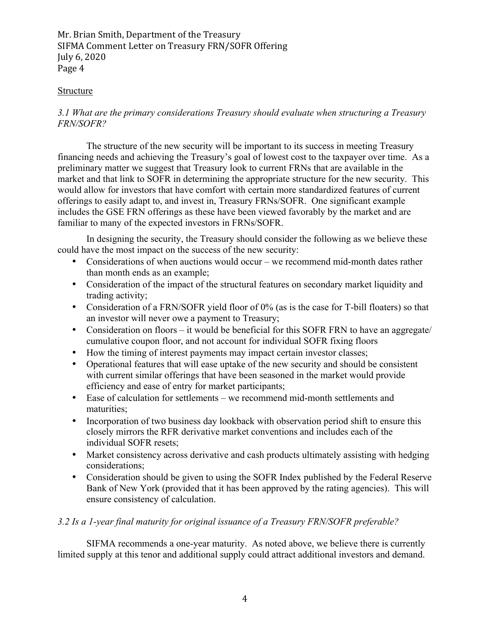### Structure

# *3.1 What are the primary considerations Treasury should evaluate when structuring a Treasury FRN/SOFR?*

The structure of the new security will be important to its success in meeting Treasury financing needs and achieving the Treasury's goal of lowest cost to the taxpayer over time. As a preliminary matter we suggest that Treasury look to current FRNs that are available in the market and that link to SOFR in determining the appropriate structure for the new security. This would allow for investors that have comfort with certain more standardized features of current offerings to easily adapt to, and invest in, Treasury FRNs/SOFR. One significant example includes the GSE FRN offerings as these have been viewed favorably by the market and are familiar to many of the expected investors in FRNs/SOFR.

In designing the security, the Treasury should consider the following as we believe these could have the most impact on the success of the new security:

- Considerations of when auctions would occur we recommend mid-month dates rather than month ends as an example;
- Consideration of the impact of the structural features on secondary market liquidity and trading activity;
- Consideration of a FRN/SOFR yield floor of 0% (as is the case for T-bill floaters) so that an investor will never owe a payment to Treasury;
- Consideration on floors it would be beneficial for this SOFR FRN to have an aggregate/ cumulative coupon floor, and not account for individual SOFR fixing floors
- How the timing of interest payments may impact certain investor classes;
- Operational features that will ease uptake of the new security and should be consistent with current similar offerings that have been seasoned in the market would provide efficiency and ease of entry for market participants;
- Ease of calculation for settlements we recommend mid-month settlements and maturities;
- Incorporation of two business day lookback with observation period shift to ensure this closely mirrors the RFR derivative market conventions and includes each of the individual SOFR resets;
- Market consistency across derivative and cash products ultimately assisting with hedging considerations;
- Consideration should be given to using the SOFR Index published by the Federal Reserve Bank of New York (provided that it has been approved by the rating agencies). This will ensure consistency of calculation.

## *3.2 Is a 1-year final maturity for original issuance of a Treasury FRN/SOFR preferable?*

SIFMA recommends a one-year maturity. As noted above, we believe there is currently limited supply at this tenor and additional supply could attract additional investors and demand.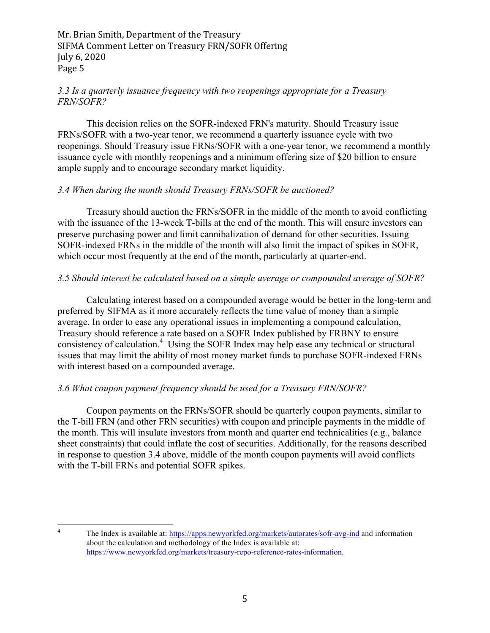## *3.3 Is a quarterly issuance frequency with two reopenings appropriate for a Treasury FRN/SOFR?*

This decision relies on the SOFR-indexed FRN's maturity. Should Treasury issue FRNs/SOFR with a two-year tenor, we recommend a quarterly issuance cycle with two reopenings. Should Treasury issue FRNs/SOFR with a one-year tenor, we recommend a monthly issuance cycle with monthly reopenings and a minimum offering size of \$20 billion to ensure ample supply and to encourage secondary market liquidity.

### *3.4 When during the month should Treasury FRNs/SOFR be auctioned?*

Treasury should auction the FRNs/SOFR in the middle of the month to avoid conflicting with the issuance of the 13-week T-bills at the end of the month. This will ensure investors can preserve purchasing power and limit cannibalization of demand for other securities. Issuing SOFR-indexed FRNs in the middle of the month will also limit the impact of spikes in SOFR, which occur most frequently at the end of the month, particularly at quarter-end.

### *3.5 Should interest be calculated based on a simple average or compounded average of SOFR?*

Calculating interest based on a compounded average would be better in the long-term and preferred by SIFMA as it more accurately reflects the time value of money than a simple average. In order to ease any operational issues in implementing a compound calculation, Treasury should reference a rate based on a SOFR Index published by FRBNY to ensure consistency of calculation.<sup>4</sup> Using the SOFR Index may help ease any technical or structural issues that may limit the ability of most money market funds to purchase SOFR-indexed FRNs with interest based on a compounded average.

## *3.6 What coupon payment frequency should be used for a Treasury FRN/SOFR?*

Coupon payments on the FRNs/SOFR should be quarterly coupon payments, similar to the T-bill FRN (and other FRN securities) with coupon and principle payments in the middle of the month. This will insulate investors from month and quarter end technicalities (e.g., balance sheet constraints) that could inflate the cost of securities. Additionally, for the reasons described in response to question 3.4 above, middle of the month coupon payments will avoid conflicts with the T-bill FRNs and potential SOFR spikes.

<sup>&</sup>lt;sup>4</sup> The Index is available at: https://apps.newyorkfed.org/markets/autorates/sofr-avg-ind and information about the calculation and methodology of the Index is available at: https://www.newyorkfed.org/markets/treasury-repo-reference-rates-information.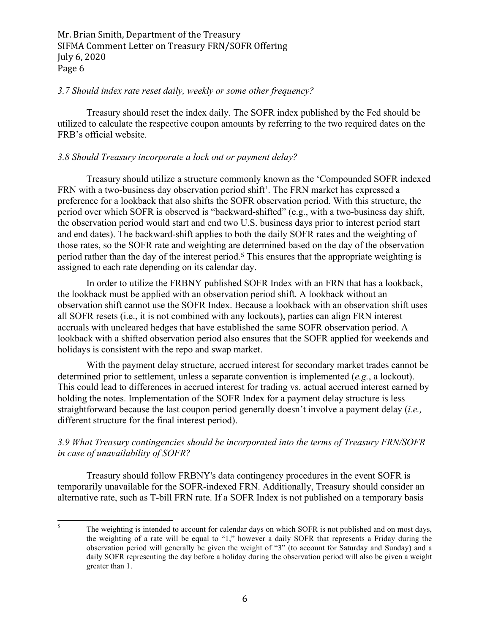#### *3.7 Should index rate reset daily, weekly or some other frequency?*

Treasury should reset the index daily. The SOFR index published by the Fed should be utilized to calculate the respective coupon amounts by referring to the two required dates on the FRB's official website.

### *3.8 Should Treasury incorporate a lock out or payment delay?*

Treasury should utilize a structure commonly known as the 'Compounded SOFR indexed FRN with a two-business day observation period shift'. The FRN market has expressed a preference for a lookback that also shifts the SOFR observation period. With this structure, the period over which SOFR is observed is "backward-shifted" (e.g., with a two-business day shift, the observation period would start and end two U.S. business days prior to interest period start and end dates). The backward-shift applies to both the daily SOFR rates and the weighting of those rates, so the SOFR rate and weighting are determined based on the day of the observation period rather than the day of the interest period.<sup>5</sup> This ensures that the appropriate weighting is assigned to each rate depending on its calendar day.

In order to utilize the FRBNY published SOFR Index with an FRN that has a lookback, the lookback must be applied with an observation period shift. A lookback without an observation shift cannot use the SOFR Index. Because a lookback with an observation shift uses all SOFR resets (i.e., it is not combined with any lockouts), parties can align FRN interest accruals with uncleared hedges that have established the same SOFR observation period. A lookback with a shifted observation period also ensures that the SOFR applied for weekends and holidays is consistent with the repo and swap market.

With the payment delay structure, accrued interest for secondary market trades cannot be determined prior to settlement, unless a separate convention is implemented (*e.g.*, a lockout). This could lead to differences in accrued interest for trading vs. actual accrued interest earned by holding the notes. Implementation of the SOFR Index for a payment delay structure is less straightforward because the last coupon period generally doesn't involve a payment delay (*i.e.,* different structure for the final interest period).

## *3.9 What Treasury contingencies should be incorporated into the terms of Treasury FRN/SOFR in case of unavailability of SOFR?*

Treasury should follow FRBNY's data contingency procedures in the event SOFR is temporarily unavailable for the SOFR-indexed FRN. Additionally, Treasury should consider an alternative rate, such as T-bill FRN rate. If a SOFR Index is not published on a temporary basis

<sup>&</sup>lt;sup>5</sup> The weighting is intended to account for calendar days on which SOFR is not published and on most days, the weighting of a rate will be equal to "1," however a daily SOFR that represents a Friday during the observation period will generally be given the weight of "3" (to account for Saturday and Sunday) and a daily SOFR representing the day before a holiday during the observation period will also be given a weight greater than 1.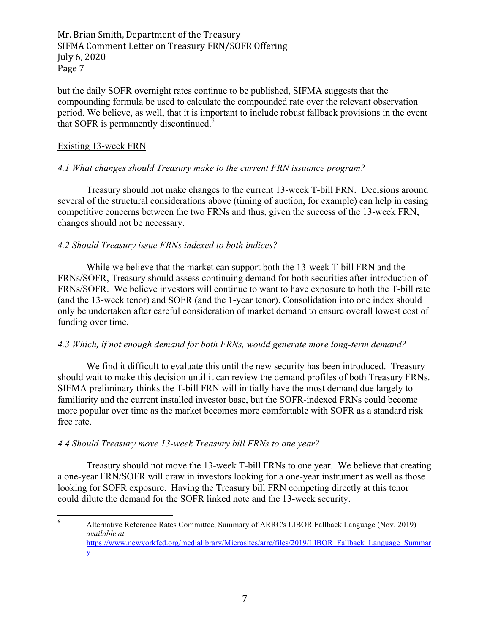but the daily SOFR overnight rates continue to be published, SIFMA suggests that the compounding formula be used to calculate the compounded rate over the relevant observation period. We believe, as well, that it is important to include robust fallback provisions in the event that SOFR is permanently discontinued.<sup>6</sup>

### Existing 13-week FRN

### *4.1 What changes should Treasury make to the current FRN issuance program?*

Treasury should not make changes to the current 13-week T-bill FRN. Decisions around several of the structural considerations above (timing of auction, for example) can help in easing competitive concerns between the two FRNs and thus, given the success of the 13-week FRN, changes should not be necessary.

### *4.2 Should Treasury issue FRNs indexed to both indices?*

While we believe that the market can support both the 13-week T-bill FRN and the FRNs/SOFR, Treasury should assess continuing demand for both securities after introduction of FRNs/SOFR. We believe investors will continue to want to have exposure to both the T-bill rate (and the 13-week tenor) and SOFR (and the 1-year tenor). Consolidation into one index should only be undertaken after careful consideration of market demand to ensure overall lowest cost of funding over time.

### *4.3 Which, if not enough demand for both FRNs, would generate more long-term demand?*

We find it difficult to evaluate this until the new security has been introduced. Treasury should wait to make this decision until it can review the demand profiles of both Treasury FRNs. SIFMA preliminary thinks the T-bill FRN will initially have the most demand due largely to familiarity and the current installed investor base, but the SOFR-indexed FRNs could become more popular over time as the market becomes more comfortable with SOFR as a standard risk free rate.

### *4.4 Should Treasury move 13-week Treasury bill FRNs to one year?*

Treasury should not move the 13-week T-bill FRNs to one year. We believe that creating a one-year FRN/SOFR will draw in investors looking for a one-year instrument as well as those looking for SOFR exposure. Having the Treasury bill FRN competing directly at this tenor could dilute the demand for the SOFR linked note and the 13-week security.

 <sup>6</sup> Alternative Reference Rates Committee, Summary of ARRC's LIBOR Fallback Language (Nov. 2019) *available at*  https://www.newyorkfed.org/medialibrary/Microsites/arrc/files/2019/LIBOR\_Fallback\_Language\_Summar y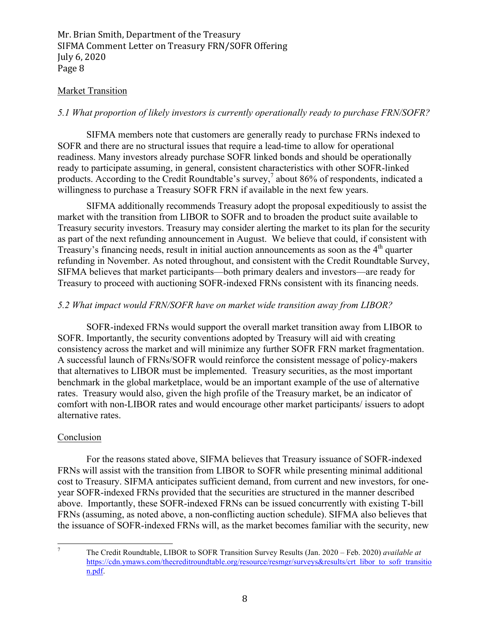### Market Transition

### *5.1 What proportion of likely investors is currently operationally ready to purchase FRN/SOFR?*

SIFMA members note that customers are generally ready to purchase FRNs indexed to SOFR and there are no structural issues that require a lead-time to allow for operational readiness. Many investors already purchase SOFR linked bonds and should be operationally ready to participate assuming, in general, consistent characteristics with other SOFR-linked products. According to the Credit Roundtable's survey,<sup>7</sup> about 86% of respondents, indicated a willingness to purchase a Treasury SOFR FRN if available in the next few years.

SIFMA additionally recommends Treasury adopt the proposal expeditiously to assist the market with the transition from LIBOR to SOFR and to broaden the product suite available to Treasury security investors. Treasury may consider alerting the market to its plan for the security as part of the next refunding announcement in August. We believe that could, if consistent with Treasury's financing needs, result in initial auction announcements as soon as the  $4<sup>th</sup>$  quarter refunding in November. As noted throughout, and consistent with the Credit Roundtable Survey, SIFMA believes that market participants—both primary dealers and investors—are ready for Treasury to proceed with auctioning SOFR-indexed FRNs consistent with its financing needs.

### *5.2 What impact would FRN/SOFR have on market wide transition away from LIBOR?*

SOFR-indexed FRNs would support the overall market transition away from LIBOR to SOFR. Importantly, the security conventions adopted by Treasury will aid with creating consistency across the market and will minimize any further SOFR FRN market fragmentation. A successful launch of FRNs/SOFR would reinforce the consistent message of policy-makers that alternatives to LIBOR must be implemented. Treasury securities, as the most important benchmark in the global marketplace, would be an important example of the use of alternative rates. Treasury would also, given the high profile of the Treasury market, be an indicator of comfort with non-LIBOR rates and would encourage other market participants/ issuers to adopt alternative rates.

### Conclusion

For the reasons stated above, SIFMA believes that Treasury issuance of SOFR-indexed FRNs will assist with the transition from LIBOR to SOFR while presenting minimal additional cost to Treasury. SIFMA anticipates sufficient demand, from current and new investors, for oneyear SOFR-indexed FRNs provided that the securities are structured in the manner described above. Importantly, these SOFR-indexed FRNs can be issued concurrently with existing T-bill FRNs (assuming, as noted above, a non-conflicting auction schedule). SIFMA also believes that the issuance of SOFR-indexed FRNs will, as the market becomes familiar with the security, new

 <sup>7</sup> The Credit Roundtable, LIBOR to SOFR Transition Survey Results (Jan. 2020 – Feb. 2020) *available at*  https://cdn.ymaws.com/thecreditroundtable.org/resource/resmgr/surveys&results/crt\_libor\_to\_sofr\_transitio n.pdf.